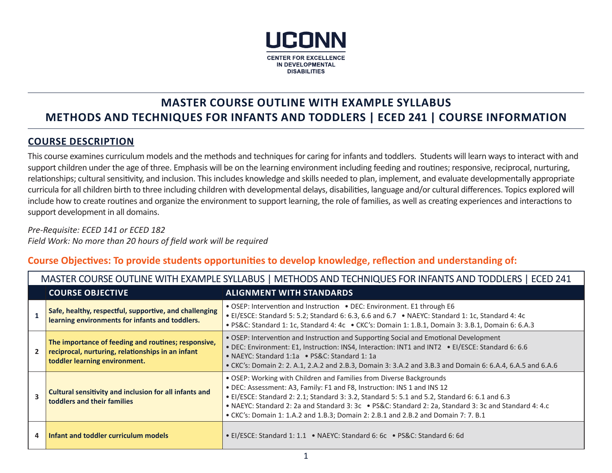

## **MASTER COURSE OUTLINE WITH EXAMPLE SYLLABUS METHODS AND TECHNIQUES FOR INFANTS AND TODDLERS | ECED 241 | COURSE INFORMATION**

## **COURSE DESCRIPTION**

This course examines curriculum models and the methods and techniques for caring for infants and toddlers. Students will learn ways to interact with and support children under the age of three. Emphasis will be on the learning environment including feeding and routines; responsive, reciprocal, nurturing, relationships; cultural sensitivity, and inclusion. This includes knowledge and skills needed to plan, implement, and evaluate developmentally appropriate curricula for all children birth to three including children with developmental delays, disabilities, language and/or cultural differences. Topics explored will include how to create routines and organize the environment to support learning, the role of families, as well as creating experiences and interactions to support development in all domains.

MASTER COURSE OUTLINE WITH EXAMPLE SYLLABUS | METHODS AND TECHNIQUES FOR INFANTS AND TODDLERS | ECED 241

*Pre-Requisite: ECED 141 or ECED 182 Field Work: No more than 20 hours of field work will be required*

## **Course Objectives: To provide students opportunities to develop knowledge, reflection and understanding of:**

|   | MASTER COURSE OUTLINE WITH EXAMPLE SYLLABUS   METHODS AND TECHNIQUES FOR INFANTS AND TODDLERS   ECED 241                                  |                                                                                                                                                                                                                                                                                                                                                                                                                                                                                                                                                                                                                                           |  |  |  |
|---|-------------------------------------------------------------------------------------------------------------------------------------------|-------------------------------------------------------------------------------------------------------------------------------------------------------------------------------------------------------------------------------------------------------------------------------------------------------------------------------------------------------------------------------------------------------------------------------------------------------------------------------------------------------------------------------------------------------------------------------------------------------------------------------------------|--|--|--|
|   | <b>COURSE OBJECTIVE</b><br><b>ALIGNMENT WITH STANDARDS</b>                                                                                |                                                                                                                                                                                                                                                                                                                                                                                                                                                                                                                                                                                                                                           |  |  |  |
|   | Safe, healthy, respectful, supportive, and challenging<br>learning environments for infants and toddlers.                                 | • OSEP: Intervention and Instruction • DEC: Environment. E1 through E6<br>• El/ESCE: Standard 5: 5.2; Standard 6: 6.3, 6.6 and 6.7 • NAEYC: Standard 1: 1c, Standard 4: 4c<br>• PS&C: Standard 1: 1c, Standard 4: 4c • CKC's: Domain 1: 1.B.1, Domain 3: 3.B.1, Domain 6: 6.A.3<br>. OSEP: Intervention and Instruction and Supporting Social and Emotional Development<br>• DEC: Environment: E1, Instruction: INS4, Interaction: INT1 and INT2 • EI/ESCE: Standard 6: 6.6<br>• NAEYC: Standard 1:1a • PS&C: Standard 1:1a<br>• CKC's: Domain 2: 2. A.1, 2.A.2 and 2.B.3, Domain 3: 3.A.2 and 3.B.3 and Domain 6: 6.A.4, 6.A.5 and 6.A.6 |  |  |  |
|   | The importance of feeding and routines; responsive,<br>reciprocal, nurturing, relationships in an infant<br>toddler learning environment. |                                                                                                                                                                                                                                                                                                                                                                                                                                                                                                                                                                                                                                           |  |  |  |
| З | <b>Cultural sensitivity and inclusion for all infants and</b><br>toddlers and their families                                              | . OSEP: Working with Children and Families from Diverse Backgrounds<br>. DEC: Assessment: A3, Family: F1 and F8, Instruction: INS 1 and INS 12<br>• El/ESCE: Standard 2: 2.1; Standard 3: 3.2, Standard 5: 5.1 and 5.2, Standard 6: 6.1 and 6.3<br>• NAEYC: Standard 2: 2a and Standard 3: 3c • PS&C: Standard 2: 2a, Standard 3: 3c and Standard 4: 4.c<br>• CKC's: Domain 1: 1.A.2 and 1.B.3; Domain 2: 2.B.1 and 2.B.2 and Domain 7: 7. B.1                                                                                                                                                                                            |  |  |  |
| 4 | Infant and toddler curriculum models                                                                                                      | • EI/ESCE: Standard 1: 1.1 • NAEYC: Standard 6: 6c • PS&C: Standard 6: 6d                                                                                                                                                                                                                                                                                                                                                                                                                                                                                                                                                                 |  |  |  |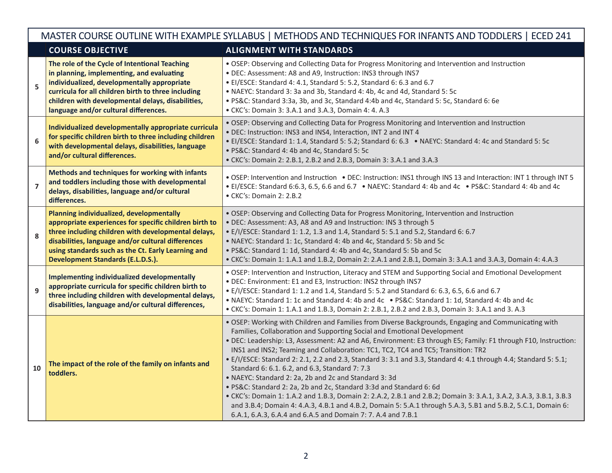| MASTER COURSE OUTLINE WITH EXAMPLE SYLLABUS   METHODS AND TECHNIQUES FOR INFANTS AND TODDLERS   ECED 241 |                                                                                                                                                                                                                                                                                                                   |                                                                                                                                                                                                                                                                                                                                                                                                                                                                                                                                                                                                                                                                                                                                                                                                                                                                                                                                                                                                  |  |  |  |
|----------------------------------------------------------------------------------------------------------|-------------------------------------------------------------------------------------------------------------------------------------------------------------------------------------------------------------------------------------------------------------------------------------------------------------------|--------------------------------------------------------------------------------------------------------------------------------------------------------------------------------------------------------------------------------------------------------------------------------------------------------------------------------------------------------------------------------------------------------------------------------------------------------------------------------------------------------------------------------------------------------------------------------------------------------------------------------------------------------------------------------------------------------------------------------------------------------------------------------------------------------------------------------------------------------------------------------------------------------------------------------------------------------------------------------------------------|--|--|--|
|                                                                                                          | <b>COURSE OBJECTIVE</b>                                                                                                                                                                                                                                                                                           | <b>ALIGNMENT WITH STANDARDS</b>                                                                                                                                                                                                                                                                                                                                                                                                                                                                                                                                                                                                                                                                                                                                                                                                                                                                                                                                                                  |  |  |  |
| 5                                                                                                        | The role of the Cycle of Intentional Teaching<br>in planning, implementing, and evaluating<br>individualized, developmentally appropriate<br>curricula for all children birth to three including<br>children with developmental delays, disabilities,<br>language and/or cultural differences.                    | . OSEP: Observing and Collecting Data for Progress Monitoring and Intervention and Instruction<br>· DEC: Assessment: A8 and A9, Instruction: INS3 through INS7<br>• EI/ESCE: Standard 4: 4.1, Standard 5: 5.2, Standard 6: 6.3 and 6.7<br>• NAEYC: Standard 3: 3a and 3b, Standard 4: 4b, 4c and 4d, Standard 5: 5c<br>· PS&C: Standard 3:3a, 3b, and 3c, Standard 4:4b and 4c, Standard 5: 5c, Standard 6: 6e<br>• CKC's: Domain 3: 3.A.1 and 3.A.3, Domain 4: 4. A.3                                                                                                                                                                                                                                                                                                                                                                                                                                                                                                                           |  |  |  |
| 6                                                                                                        | Individualized developmentally appropriate curricula<br>for specific children birth to three including children<br>with developmental delays, disabilities, language<br>and/or cultural differences.                                                                                                              | . OSEP: Observing and Collecting Data for Progress Monitoring and Intervention and Instruction<br>. DEC: Instruction: INS3 and INS4, Interaction, INT 2 and INT 4<br>• El/ESCE: Standard 1: 1.4, Standard 5: 5.2; Standard 6: 6.3 • NAEYC: Standard 4: 4c and Standard 5: 5c<br>· PS&C: Standard 4: 4b and 4c, Standard 5: 5c<br>• CKC's: Domain 2: 2.B.1, 2.B.2 and 2.B.3, Domain 3: 3.A.1 and 3.A.3                                                                                                                                                                                                                                                                                                                                                                                                                                                                                                                                                                                            |  |  |  |
| $\overline{7}$                                                                                           | Methods and techniques for working with infants<br>and toddlers including those with developmental<br>delays, disabilities, language and/or cultural<br>differences.                                                                                                                                              | . OSEP: Intervention and Instruction . DEC: Instruction: INS1 through INS13 and Interaction: INT1 through INT5<br>• El/ESCE: Standard 6:6.3, 6.5, 6.6 and 6.7 • NAEYC: Standard 4: 4b and 4c • PS&C: Standard 4: 4b and 4c<br>• CKC's: Domain 2: 2.B.2                                                                                                                                                                                                                                                                                                                                                                                                                                                                                                                                                                                                                                                                                                                                           |  |  |  |
| 8                                                                                                        | Planning individualized, developmentally<br>appropriate experiences for specific children birth to<br>three including children with developmental delays,<br>disabilities, language and/or cultural differences<br>using standards such as the Ct. Early Learning and<br><b>Development Standards (E.L.D.S.).</b> | . OSEP: Observing and Collecting Data for Progress Monitoring, Intervention and Instruction<br>. DEC: Assessment: A3, A8 and A9 and Instruction: INS 3 through 5<br>• E/I/ESCE: Standard 1: 1.2, 1.3 and 1.4, Standard 5: 5.1 and 5.2, Standard 6: 6.7<br>• NAEYC: Standard 1: 1c, Standard 4: 4b and 4c, Standard 5: 5b and 5c<br>. PS&C: Standard 1: 1d, Standard 4: 4b and 4c, Standard 5: 5b and 5c<br>• CKC's: Domain 1: 1.A.1 and 1.B.2, Domain 2: 2.A.1 and 2.B.1, Domain 3: 3.A.1 and 3.A.3, Domain 4: 4.A.3                                                                                                                                                                                                                                                                                                                                                                                                                                                                             |  |  |  |
| 9                                                                                                        | Implementing individualized developmentally<br>appropriate curricula for specific children birth to<br>three including children with developmental delays,<br>disabilities, language and/or cultural differences,                                                                                                 | . OSEP: Intervention and Instruction, Literacy and STEM and Supporting Social and Emotional Development<br>. DEC: Environment: E1 and E3, Instruction: INS2 through INS7<br>• E/I/ESCE: Standard 1: 1.2 and 1.4, Standard 5: 5.2 and Standard 6: 6.3, 6.5, 6.6 and 6.7<br>• NAEYC: Standard 1: 1c and Standard 4: 4b and 4c • PS&C: Standard 1: 1d, Standard 4: 4b and 4c<br>• CKC's: Domain 1: 1.A.1 and 1.B.3, Domain 2: 2.B.1, 2.B.2 and 2.B.3, Domain 3: 3.A.1 and 3.A.3                                                                                                                                                                                                                                                                                                                                                                                                                                                                                                                     |  |  |  |
| 10                                                                                                       | The impact of the role of the family on infants and<br>toddlers.                                                                                                                                                                                                                                                  | . OSEP: Working with Children and Families from Diverse Backgrounds, Engaging and Communicating with<br>Families, Collaboration and Supporting Social and Emotional Development<br>. DEC: Leadership: L3, Assessment: A2 and A6, Environment: E3 through E5; Family: F1 through F10, Instruction:<br>INS1 and INS2; Teaming and Collaboration: TC1, TC2, TC4 and TC5; Transition: TR2<br>· E/I/ESCE: Standard 2: 2.1, 2.2 and 2.3, Standard 3: 3.1 and 3.3, Standard 4: 4.1 through 4.4; Standard 5: 5.1;<br>Standard 6: 6.1. 6.2, and 6.3, Standard 7: 7.3<br>• NAEYC: Standard 2: 2a, 2b and 2c and Standard 3: 3d<br>· PS&C: Standard 2: 2a, 2b and 2c, Standard 3:3d and Standard 6: 6d<br>• CKC's: Domain 1: 1.A.2 and 1.B.3, Domain 2: 2.A.2, 2.B.1 and 2.B.2; Domain 3: 3.A.1, 3.A.2, 3.A.3, 3.B.1, 3.B.3<br>and 3.B.4; Domain 4: 4.A.3, 4.B.1 and 4.B.2, Domain 5: 5.A.1 through 5.A.3, 5.B1 and 5.B.2, 5.C.1, Domain 6:<br>6.A.1, 6.A.3, 6.A.4 and 6.A.5 and Domain 7: 7. A.4 and 7.B.1 |  |  |  |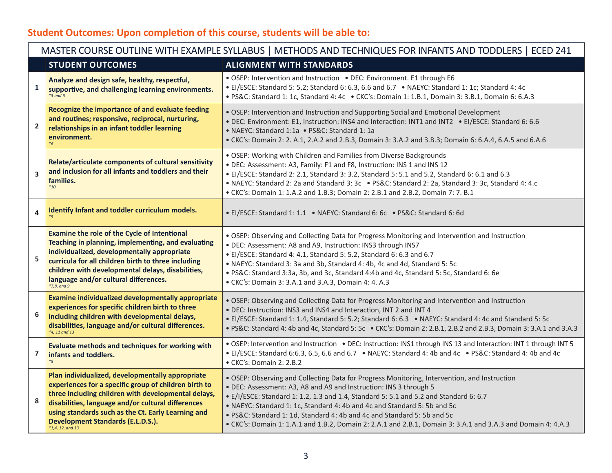# **Student Outcomes: Upon completion of this course, students will be able to:**

| MASTER COURSE OUTLINE WITH EXAMPLE SYLLABUS   METHODS AND TECHNIQUES FOR INFANTS AND TODDLERS   ECED 241 |                                                                                                                                                                                                                                                                                                                                                |                                                                                                                                                                                                                                                                                                                                                                                                                                                                                                                                   |  |  |
|----------------------------------------------------------------------------------------------------------|------------------------------------------------------------------------------------------------------------------------------------------------------------------------------------------------------------------------------------------------------------------------------------------------------------------------------------------------|-----------------------------------------------------------------------------------------------------------------------------------------------------------------------------------------------------------------------------------------------------------------------------------------------------------------------------------------------------------------------------------------------------------------------------------------------------------------------------------------------------------------------------------|--|--|
|                                                                                                          | <b>STUDENT OUTCOMES</b>                                                                                                                                                                                                                                                                                                                        | <b>ALIGNMENT WITH STANDARDS</b>                                                                                                                                                                                                                                                                                                                                                                                                                                                                                                   |  |  |
| $\mathbf{1}$                                                                                             | Analyze and design safe, healthy, respectful,<br>supportive, and challenging learning environments.<br>$*3$ and 6                                                                                                                                                                                                                              | • OSEP: Intervention and Instruction • DEC: Environment. E1 through E6<br>• El/ESCE: Standard 5: 5.2; Standard 6: 6.3, 6.6 and 6.7 • NAEYC: Standard 1: 1c; Standard 4: 4c<br>• PS&C: Standard 1: 1c, Standard 4: 4c • CKC's: Domain 1: 1.B.1, Domain 3: 3.B.1, Domain 6: 6.A.3                                                                                                                                                                                                                                                   |  |  |
| $\mathbf{2}$                                                                                             | Recognize the importance of and evaluate feeding<br>and routines; responsive, reciprocal, nurturing,<br>relationships in an infant toddler learning<br>environment.                                                                                                                                                                            | • OSEP: Intervention and Instruction and Supporting Social and Emotional Development<br>• DEC: Environment: E1, Instruction: INS4 and Interaction: INT1 and INT2 • EI/ESCE: Standard 6: 6.6<br>• NAEYC: Standard 1:1a • PS&C: Standard 1: 1a<br>• CKC's: Domain 2: 2. A.1, 2.A.2 and 2.B.3, Domain 3: 3.A.2 and 3.B.3; Domain 6: 6.A.4, 6.A.5 and 6.A.6                                                                                                                                                                           |  |  |
| $\overline{\mathbf{3}}$                                                                                  | Relate/articulate components of cultural sensitivity<br>and inclusion for all infants and toddlers and their<br>families.<br>$*_{10}$                                                                                                                                                                                                          | . OSEP: Working with Children and Families from Diverse Backgrounds<br>. DEC: Assessment: A3, Family: F1 and F8, Instruction: INS 1 and INS 12<br>• El/ESCE: Standard 2: 2.1, Standard 3: 3.2, Standard 5: 5.1 and 5.2, Standard 6: 6.1 and 6.3<br>• NAEYC: Standard 2: 2a and Standard 3: 3c • PS&C: Standard 2: 2a, Standard 3: 3c, Standard 4: 4.c<br>• CKC's: Domain 1: 1.A.2 and 1.B.3; Domain 2: 2.B.1 and 2.B.2, Domain 7: 7. B.1                                                                                          |  |  |
| 4                                                                                                        | Identify Infant and toddler curriculum models.                                                                                                                                                                                                                                                                                                 | • El/ESCE: Standard 1: 1.1 • NAEYC: Standard 6: 6c • PS&C: Standard 6: 6d                                                                                                                                                                                                                                                                                                                                                                                                                                                         |  |  |
| 5                                                                                                        | <b>Examine the role of the Cycle of Intentional</b><br>Teaching in planning, implementing, and evaluating<br>individualized, developmentally appropriate<br>curricula for all children birth to three including<br>children with developmental delays, disabilities,<br>language and/or cultural differences.<br>$*7,8, and 9$                 | . OSEP: Observing and Collecting Data for Progress Monitoring and Intervention and Instruction<br>. DEC: Assessment: A8 and A9, Instruction: INS3 through INS7<br>• El/ESCE: Standard 4: 4.1, Standard 5: 5.2, Standard 6: 6.3 and 6.7<br>• NAEYC: Standard 3: 3a and 3b, Standard 4: 4b, 4c and 4d, Standard 5: 5c<br>· PS&C: Standard 3:3a, 3b, and 3c, Standard 4:4b and 4c, Standard 5: 5c, Standard 6: 6e<br>• CKC's: Domain 3: 3.A.1 and 3.A.3, Domain 4: 4. A.3                                                            |  |  |
| 6                                                                                                        | Examine individualized developmentally appropriate<br>experiences for specific children birth to three<br>including children with developmental delays,<br>disabilities, language and/or cultural differences.<br>*4, 11 and 13                                                                                                                | . OSEP: Observing and Collecting Data for Progress Monitoring and Intervention and Instruction<br>. DEC: Instruction: INS3 and INS4 and Interaction, INT 2 and INT 4<br>• El/ESCE: Standard 1: 1.4, Standard 5: 5.2; Standard 6: 6.3 • NAEYC: Standard 4: 4c and Standard 5: 5c<br>• PS&C: Standard 4: 4b and 4c, Standard 5: 5c • CKC's: Domain 2: 2.B.1, 2.B.2 and 2.B.3, Domain 3: 3.A.1 and 3.A.3                                                                                                                             |  |  |
| $\overline{7}$                                                                                           | Evaluate methods and techniques for working with<br>infants and toddlers.<br>$*_{5}$                                                                                                                                                                                                                                                           | • OSEP: Intervention and Instruction • DEC: Instruction: INS1 through INS 13 and Interaction: INT 1 through INT 5<br>• El/ESCE: Standard 6:6.3, 6.5, 6.6 and 6.7 • NAEYC: Standard 4: 4b and 4c • PS&C: Standard 4: 4b and 4c<br>• CKC's: Domain 2: 2.B.2                                                                                                                                                                                                                                                                         |  |  |
| 8                                                                                                        | Plan individualized, developmentally appropriate<br>experiences for a specific group of children birth to<br>three including children with developmental delays,<br>disabilities, language and/or cultural differences<br>using standards such as the Ct. Early Learning and<br><b>Development Standards (E.L.D.S.).</b><br>$*1,4, 12, and 13$ | . OSEP: Observing and Collecting Data for Progress Monitoring, Intervention, and Instruction<br>. DEC: Assessment: A3, A8 and A9 and Instruction: INS 3 through 5<br>• E/I/ESCE: Standard 1: 1.2, 1.3 and 1.4, Standard 5: 5.1 and 5.2 and Standard 6: 6.7<br>• NAEYC: Standard 1: 1c, Standard 4: 4b and 4c and Standard 5: 5b and 5c<br>• PS&C: Standard 1: 1d, Standard 4: 4b and 4c and Standard 5: 5b and 5c<br>• CKC's: Domain 1: 1.A.1 and 1.B.2, Domain 2: 2.A.1 and 2.B.1, Domain 3: 3.A.1 and 3.A.3 and Domain 4: 4.A.3 |  |  |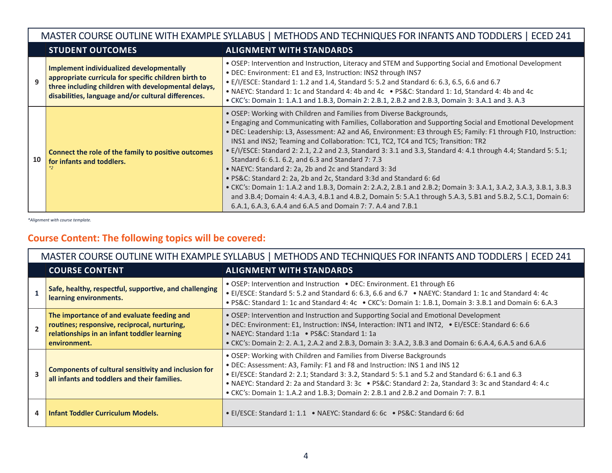#### MASTER COURSE OUTLINE WITH EXAMPLE SYLLABUS | METHODS AND TECHNIQUES FOR INFANTS AND TODDLERS | ECED 241 **STUDENT OUTCOMES ALIGNMENT WITH STANDARDS 9 Implement individualized developmentally appropriate curricula for specific children birth to three including children with developmental delays, disabilities, language and/or cultural differences.** • OSEP: Intervention and Instruction, Literacy and STEM and Supporting Social and Emotional Development • DEC: Environment: E1 and E3, Instruction: INS2 through INS7 • E/I/ESCE: Standard 1: 1.2 and 1.4, Standard 5: 5.2 and Standard 6: 6.3, 6.5, 6.6 and 6.7 • NAEYC: Standard 1: 1c and Standard 4: 4b and 4c • PS&C: Standard 1: 1d, Standard 4: 4b and 4c • CKC's: Domain 1: 1.A.1 and 1.B.3, Domain 2: 2.B.1, 2.B.2 and 2.B.3, Domain 3: 3.A.1 and 3. A.3 **10 Connect the role of the family to positive outcomes for infants and toddlers.** *\*2* • OSEP: Working with Children and Families from Diverse Backgrounds, • Engaging and Communicating with Families, Collaboration and Supporting Social and Emotional Development • DEC: Leadership: L3, Assessment: A2 and A6, Environment: E3 through E5; Family: F1 through F10, Instruction: INS1 and INS2; Teaming and Collaboration: TC1, TC2, TC4 and TC5; Transition: TR2 • E/I/ESCE: Standard 2: 2.1, 2.2 and 2.3, Standard 3: 3.1 and 3.3, Standard 4: 4.1 through 4.4; Standard 5: 5.1; Standard 6: 6.1. 6.2, and 6.3 and Standard 7: 7.3 • NAEYC: Standard 2: 2a, 2b and 2c and Standard 3: 3d • PS&C: Standard 2: 2a, 2b and 2c, Standard 3:3d and Standard 6: 6d • CKC's: Domain 1: 1.A.2 and 1.B.3, Domain 2: 2.A.2, 2.B.1 and 2.B.2; Domain 3: 3.A.1, 3.A.2, 3.A.3, 3.B.1, 3.B.3 and 3.B.4; Domain 4: 4.A.3, 4.B.1 and 4.B.2, Domain 5: 5.A.1 through 5.A.3, 5.B1 and 5.B.2, 5.C.1, Domain 6: 6.A.1, 6.A.3, 6.A.4 and 6.A.5 and Domain 7: 7. A.4 and 7.B.1

*\*Alignment with course template.*

## **Course Content: The following topics will be covered:**

| MASTER COURSE OUTLINE WITH EXAMPLE SYLLABUS   METHODS AND TECHNIQUES FOR INFANTS AND TODDLERS  <br><b>ECED 241</b> |                                                                                                                                                           |                                                                                                                                                                                                                                                                                                                                                                                                                                                      |  |  |
|--------------------------------------------------------------------------------------------------------------------|-----------------------------------------------------------------------------------------------------------------------------------------------------------|------------------------------------------------------------------------------------------------------------------------------------------------------------------------------------------------------------------------------------------------------------------------------------------------------------------------------------------------------------------------------------------------------------------------------------------------------|--|--|
|                                                                                                                    | <b>COURSE CONTENT</b>                                                                                                                                     | <b>ALIGNMENT WITH STANDARDS</b>                                                                                                                                                                                                                                                                                                                                                                                                                      |  |  |
|                                                                                                                    | Safe, healthy, respectful, supportive, and challenging<br>learning environments.                                                                          | • OSEP: Intervention and Instruction • DEC: Environment. E1 through E6<br>• El/ESCE: Standard 5: 5.2 and Standard 6: 6.3, 6.6 and 6.7 • NAEYC: Standard 1: 1c and Standard 4: 4c<br>• PS&C: Standard 1: 1c and Standard 4: 4c • CKC's: Domain 1: 1.B.1, Domain 3: 3.B.1 and Domain 6: 6.A.3                                                                                                                                                          |  |  |
|                                                                                                                    | The importance of and evaluate feeding and<br>routines; responsive, reciprocal, nurturing,<br>relationships in an infant toddler learning<br>environment. | . OSEP: Intervention and Instruction and Supporting Social and Emotional Development<br>. DEC: Environment: E1, Instruction: INS4, Interaction: INT1 and INT2, . El/ESCE: Standard 6: 6.6<br>• NAEYC: Standard 1:1a • PS&C: Standard 1:1a<br>• CKC's: Domain 2: 2. A.1, 2.A.2 and 2.B.3, Domain 3: 3.A.2, 3.B.3 and Domain 6: 6.A.4, 6.A.5 and 6.A.6                                                                                                 |  |  |
|                                                                                                                    | Components of cultural sensitivity and inclusion for<br>all infants and toddlers and their families.                                                      | • OSEP: Working with Children and Families from Diverse Backgrounds<br>. DEC: Assessment: A3, Family: F1 and F8 and Instruction: INS 1 and INS 12<br>• El/ESCE: Standard 2: 2.1; Standard 3: 3.2, Standard 5: 5.1 and 5.2 and Standard 6: 6.1 and 6.3<br>• NAEYC: Standard 2: 2a and Standard 3: 3c • PS&C: Standard 2: 2a, Standard 3: 3c and Standard 4: 4.c<br>• CKC's: Domain 1: 1.A.2 and 1.B.3; Domain 2: 2.B.1 and 2.B.2 and Domain 7: 7. B.1 |  |  |
| 4                                                                                                                  | <b>Infant Toddler Curriculum Models.</b>                                                                                                                  | • El/ESCE: Standard 1: 1.1 • NAEYC: Standard 6: 6c • PS&C: Standard 6: 6d                                                                                                                                                                                                                                                                                                                                                                            |  |  |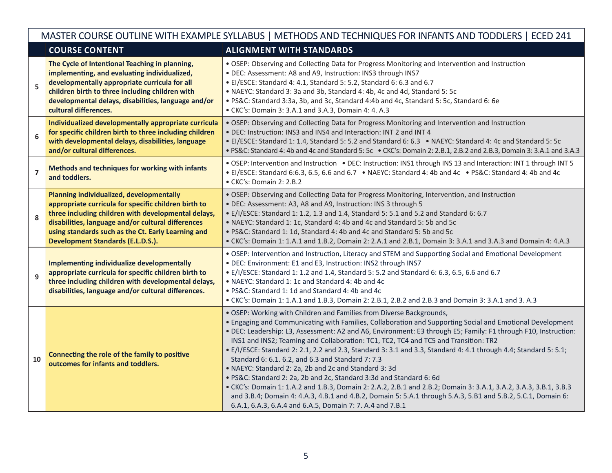|                  | MASTER COURSE OUTLINE WITH EXAMPLE SYLLABUS   METHODS AND TECHNIQUES FOR INFANTS AND TODDLERS   ECED 241                                                                                                                                                                                                        |                                                                                                                                                                                                                                                                                                                                                                                                                                                                                                                                                                                                                                                                                                                                                                                                                                                                                                                                                                                                       |  |  |  |  |
|------------------|-----------------------------------------------------------------------------------------------------------------------------------------------------------------------------------------------------------------------------------------------------------------------------------------------------------------|-------------------------------------------------------------------------------------------------------------------------------------------------------------------------------------------------------------------------------------------------------------------------------------------------------------------------------------------------------------------------------------------------------------------------------------------------------------------------------------------------------------------------------------------------------------------------------------------------------------------------------------------------------------------------------------------------------------------------------------------------------------------------------------------------------------------------------------------------------------------------------------------------------------------------------------------------------------------------------------------------------|--|--|--|--|
|                  | <b>COURSE CONTENT</b>                                                                                                                                                                                                                                                                                           | <b>ALIGNMENT WITH STANDARDS</b>                                                                                                                                                                                                                                                                                                                                                                                                                                                                                                                                                                                                                                                                                                                                                                                                                                                                                                                                                                       |  |  |  |  |
| 5                | The Cycle of Intentional Teaching in planning,<br>implementing, and evaluating individualized,<br>developmentally appropriate curricula for all<br>children birth to three including children with<br>developmental delays, disabilities, language and/or<br>cultural differences.                              | . OSEP: Observing and Collecting Data for Progress Monitoring and Intervention and Instruction<br>. DEC: Assessment: A8 and A9, Instruction: INS3 through INS7<br>• EI/ESCE: Standard 4: 4.1, Standard 5: 5.2, Standard 6: 6.3 and 6.7<br>• NAEYC: Standard 3: 3a and 3b, Standard 4: 4b, 4c and 4d, Standard 5: 5c<br>• PS&C: Standard 3:3a, 3b, and 3c, Standard 4:4b and 4c, Standard 5: 5c, Standard 6: 6e<br>• CKC's: Domain 3: 3.A.1 and 3.A.3, Domain 4: 4. A.3                                                                                                                                                                                                                                                                                                                                                                                                                                                                                                                                |  |  |  |  |
| $\boldsymbol{6}$ | Individualized developmentally appropriate curricula<br>for specific children birth to three including children<br>with developmental delays, disabilities, language<br>and/or cultural differences.                                                                                                            | . OSEP: Observing and Collecting Data for Progress Monitoring and Intervention and Instruction<br>• DEC: Instruction: INS3 and INS4 and Interaction: INT 2 and INT 4<br>• El/ESCE: Standard 1: 1.4, Standard 5: 5.2 and Standard 6: 6.3 • NAEYC: Standard 4: 4c and Standard 5: 5c<br>• PS&C: Standard 4: 4b and 4c and Standard 5: 5c • CKC's: Domain 2: 2.B.1, 2.B.2 and 2.B.3, Domain 3: 3.A.1 and 3.A.3                                                                                                                                                                                                                                                                                                                                                                                                                                                                                                                                                                                           |  |  |  |  |
| $\overline{7}$   | Methods and techniques for working with infants<br>and toddlers.                                                                                                                                                                                                                                                | . OSEP: Intervention and Instruction . DEC: Instruction: INS1 through INS 13 and Interaction: INT 1 through INT 5<br>• El/ESCE: Standard 6:6.3, 6.5, 6.6 and 6.7 • NAEYC: Standard 4: 4b and 4c • PS&C: Standard 4: 4b and 4c<br>• CKC's: Domain 2: 2.B.2                                                                                                                                                                                                                                                                                                                                                                                                                                                                                                                                                                                                                                                                                                                                             |  |  |  |  |
| 8                | Planning individualized, developmentally<br>appropriate curricula for specific children birth to<br>three including children with developmental delays,<br>disabilities, language and/or cultural differences<br>using standards such as the Ct. Early Learning and<br><b>Development Standards (E.L.D.S.).</b> | . OSEP: Observing and Collecting Data for Progress Monitoring, Intervention, and Instruction<br>. DEC: Assessment: A3, A8 and A9, Instruction: INS 3 through 5<br>• E/I/ESCE: Standard 1: 1.2, 1.3 and 1.4, Standard 5: 5.1 and 5.2 and Standard 6: 6.7<br>• NAEYC: Standard 1: 1c, Standard 4: 4b and 4c and Standard 5: 5b and 5c<br>• PS&C: Standard 1: 1d, Standard 4: 4b and 4c and Standard 5: 5b and 5c<br>• CKC's: Domain 1: 1.A.1 and 1.B.2, Domain 2: 2.A.1 and 2.B.1, Domain 3: 3.A.1 and 3.A.3 and Domain 4: 4.A.3                                                                                                                                                                                                                                                                                                                                                                                                                                                                        |  |  |  |  |
| 9                | Implementing individualize developmentally<br>appropriate curricula for specific children birth to<br>three including children with developmental delays,<br>disabilities, language and/or cultural differences.                                                                                                | . OSEP: Intervention and Instruction, Literacy and STEM and Supporting Social and Emotional Development<br>. DEC: Environment: E1 and E3, Instruction: INS2 through INS7<br>• E/I/ESCE: Standard 1: 1.2 and 1.4, Standard 5: 5.2 and Standard 6: 6.3, 6.5, 6.6 and 6.7<br>• NAEYC: Standard 1: 1c and Standard 4: 4b and 4c<br>• PS&C: Standard 1: 1d and Standard 4: 4b and 4c<br>• CKC's: Domain 1: 1.A.1 and 1.B.3, Domain 2: 2.B.1, 2.B.2 and 2.B.3 and Domain 3: 3.A.1 and 3.A.3                                                                                                                                                                                                                                                                                                                                                                                                                                                                                                                 |  |  |  |  |
| 10               | Connecting the role of the family to positive<br>outcomes for infants and toddlers.                                                                                                                                                                                                                             | . OSEP: Working with Children and Families from Diverse Backgrounds,<br>. Engaging and Communicating with Families, Collaboration and Supporting Social and Emotional Development<br>. DEC: Leadership: L3, Assessment: A2 and A6, Environment: E3 through E5; Family: F1 through F10, Instruction:<br>INS1 and INS2; Teaming and Collaboration: TC1, TC2, TC4 and TC5 and Transition: TR2<br>. E/I/ESCE: Standard 2: 2.1, 2.2 and 2.3, Standard 3: 3.1 and 3.3, Standard 4: 4.1 through 4.4; Standard 5: 5.1;<br>Standard 6: 6.1. 6.2, and 6.3 and Standard 7: 7.3<br>• NAEYC: Standard 2: 2a, 2b and 2c and Standard 3: 3d<br>· PS&C: Standard 2: 2a, 2b and 2c, Standard 3:3d and Standard 6: 6d<br>• CKC's: Domain 1: 1.A.2 and 1.B.3, Domain 2: 2.A.2, 2.B.1 and 2.B.2; Domain 3: 3.A.1, 3.A.2, 3.A.3, 3.B.1, 3.B.3<br>and 3.B.4; Domain 4: 4.A.3, 4.B.1 and 4.B.2, Domain 5: 5.A.1 through 5.A.3, 5.B1 and 5.B.2, 5.C.1, Domain 6:<br>6.A.1, 6.A.3, 6.A.4 and 6.A.5, Domain 7: 7. A.4 and 7.B.1 |  |  |  |  |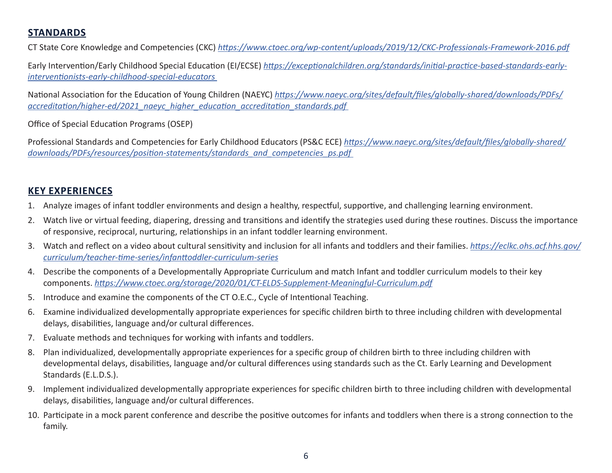## **STANDARDS**

CT State Core Knowledge and Competencies (CKC) *<https://www.ctoec.org/wp-content/uploads/2019/12/CKC-Professionals-Framework-2016.pdf>*

Early Intervention/Early Childhood Special Education (EI/ECSE) *[https://exceptionalchildren.org/standards/initial-practice-based-standards-early](https://exceptionalchildren.org/standards/initial-practice-based-standards-early-interventionists-early-childhood-special-educators)[interventionists-early-childhood-special-educators](https://exceptionalchildren.org/standards/initial-practice-based-standards-early-interventionists-early-childhood-special-educators)* 

National Association for the Education of Young Children (NAEYC) *[https://www.naeyc.org/sites/default/files/globally-shared/downloads/PDFs/](https://www.naeyc.org/sites/default/files/globally-shared/downloads/PDFs/accreditation/higher-ed/2021_naeyc_higher_education_accreditation_standards.pdf) [accreditation/higher-ed/2021\\_naeyc\\_higher\\_education\\_accreditation\\_standards.pdf](https://www.naeyc.org/sites/default/files/globally-shared/downloads/PDFs/accreditation/higher-ed/2021_naeyc_higher_education_accreditation_standards.pdf)* 

Office of Special Education Programs (OSEP)

Professional Standards and Competencies for Early Childhood Educators (PS&C ECE) *[https://www.naeyc.org/sites/default/files/globally-shared/](https://www.naeyc.org/sites/default/files/globally-shared/downloads/PDFs/resources/position-statements/standards_and_competencies_ps.pdf) [downloads/PDFs/resources/position-statements/standards\\_and\\_competencies\\_ps.pdf](https://www.naeyc.org/sites/default/files/globally-shared/downloads/PDFs/resources/position-statements/standards_and_competencies_ps.pdf)* 

## **KEY EXPERIENCES**

- 1. Analyze images of infant toddler environments and design a healthy, respectful, supportive, and challenging learning environment.
- 2. Watch live or virtual feeding, diapering, dressing and transitions and identify the strategies used during these routines. Discuss the importance of responsive, reciprocal, nurturing, relationships in an infant toddler learning environment.
- 3. Watch and reflect on a video about cultural sensitivity and inclusion for all infants and toddlers and their families. *[https://eclkc.ohs.acf.hhs.gov/](https://eclkc.ohs.acf.hhs.gov/curriculum/teacher-time-series/infanttoddler-curriculum-series) [curriculum/teacher-time-series/infanttoddler-curriculum-series](https://eclkc.ohs.acf.hhs.gov/curriculum/teacher-time-series/infanttoddler-curriculum-series)*
- 4. Describe the components of a Developmentally Appropriate Curriculum and match Infant and toddler curriculum models to their key components. *<https://www.ctoec.org/storage/2020/01/CT-ELDS-Supplement-Meaningful-Curriculum.pdf>*
- 5. Introduce and examine the components of the CT O.E.C., Cycle of Intentional Teaching.
- 6. Examine individualized developmentally appropriate experiences for specific children birth to three including children with developmental delays, disabilities, language and/or cultural differences.
- 7. Evaluate methods and techniques for working with infants and toddlers.
- 8. Plan individualized, developmentally appropriate experiences for a specific group of children birth to three including children with developmental delays, disabilities, language and/or cultural differences using standards such as the Ct. Early Learning and Development Standards (E.L.D.S.).
- 9. Implement individualized developmentally appropriate experiences for specific children birth to three including children with developmental delays, disabilities, language and/or cultural differences.
- 10. Participate in a mock parent conference and describe the positive outcomes for infants and toddlers when there is a strong connection to the family.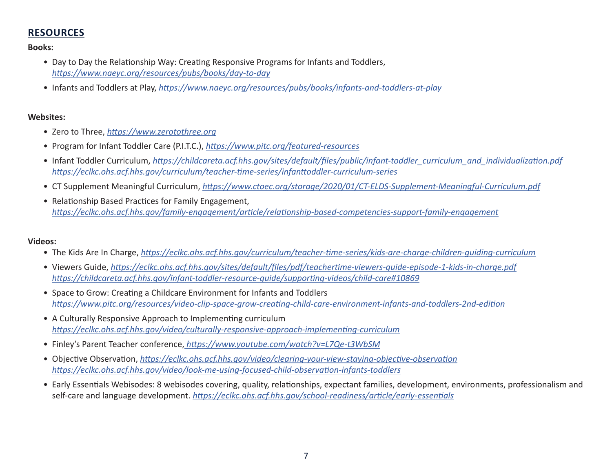## **RESOURCES**

#### **Books:**

- Day to Day the Relationship Way: Creating Responsive Programs for Infants and Toddlers, *<https://www.naeyc.org/resources/pubs/books/day-to-day>*
- Infants and Toddlers at Play, *<https://www.naeyc.org/resources/pubs/books/infants-and-toddlers-at-play>*

#### **Websites:**

- Zero to Three, *<https://www.zerotothree.org>*
- Program for Infant Toddler Care (P.I.T.C.), *<https://www.pitc.org/featured-resources>*
- Infant Toddler Curriculum, [https://childcareta.acf.hhs.gov/sites/default/files/public/infant-toddler\\_curriculum\\_and\\_individualization.pdf](https://childcareta.acf.hhs.gov/sites/default/files/public/infant-toddler_curriculum_and_individualization.pdf) *<https://eclkc.ohs.acf.hhs.gov/curriculum/teacher-time-series/infanttoddler-curriculum-series>*
- CT Supplement Meaningful Curriculum, *<https://www.ctoec.org/storage/2020/01/CT-ELDS-Supplement-Meaningful-Curriculum.pdf>*
- Relationship Based Practices for Family Engagement, *[https://eclkc.ohs.acf.hhs.gov/family-engagement/article/relationship-based-competencies-support-family-engagement](https://eclkc.ohs.acf.hhs.gov/family-engagement/relationship-based-competencies-support-family-engagement/relationship-based-competencies-support-family-engagement)*

#### **Videos:**

- The Kids Are In Charge, *<https://eclkc.ohs.acf.hhs.gov/curriculum/teacher-time-series/kids-are-charge-children-guiding-curriculum>*
- Viewers Guide, *<https://eclkc.ohs.acf.hhs.gov/sites/default/files/pdf/teachertime-viewers-guide-episode-1-kids-in-charge.pdf> <https://childcareta.acf.hhs.gov/infant-toddler-resource-guide/supporting-videos/child-care#10869>*
- Space to Grow: Creating a Childcare Environment for Infants and Toddlers *[https://www.pitc.org/resources/video-clip-space-grow-creating-child-care-environment-infants-and-toddlers-2nd-edition](https://www.pitc.org/resources/video-clip-space-grow-choice)*
- A Culturally Responsive Approach to Implementing curriculum *<https://eclkc.ohs.acf.hhs.gov/video/culturally-responsive-approach-implementing-curriculum>*
- Finley's Parent Teacher conference,*<https://www.youtube.com/watch?v=L7Qe-t3WbSM>*
- Objective Observation, *<https://eclkc.ohs.acf.hhs.gov/video/clearing-your-view-staying-objective-observation> <https://eclkc.ohs.acf.hhs.gov/video/look-me-using-focused-child-observation-infants-toddlers>*
- Early Essentials Webisodes: 8 webisodes covering, quality, relationships, expectant families, development, environments, professionalism and self-care and language development. *<https://eclkc.ohs.acf.hhs.gov/school-readiness/article/early-essentials>*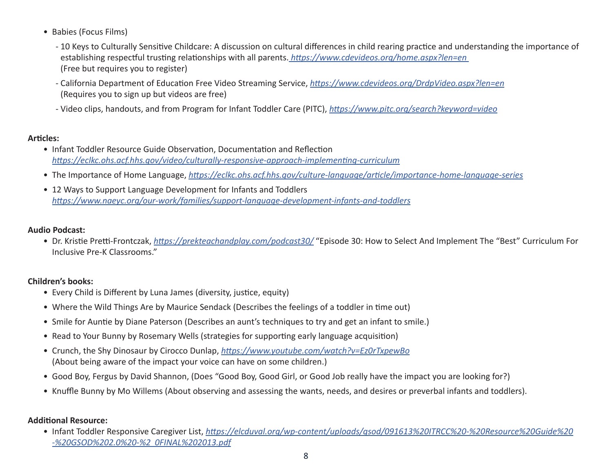- Babies (Focus Films)
	- 10 Keys to Culturally Sensitive Childcare: A discussion on cultural differences in child rearing practice and understanding the importance of establishing respectful trusting relationships with all parents.*<https://www.cdevideos.org/home.aspx?len=en>* (Free but requires you to register)
	- California Department of Education Free Video Streaming Service, *<https://www.cdevideos.org/DrdpVideo.aspx?len=en>* (Requires you to sign up but videos are free)
	- Video clips, handouts, and from Program for Infant Toddler Care (PITC), *<https://www.pitc.org/search?keyword=video>*

## **Articles:**

- Infant Toddler Resource Guide Observation, Documentation and Reflection *<https://eclkc.ohs.acf.hhs.gov/video/culturally-responsive-approach-implementing-curriculum>*
- The Importance of Home Language, *<https://eclkc.ohs.acf.hhs.gov/culture-language/article/importance-home-language-series>*
- 12 Ways to Support Language Development for Infants and Toddlers *<https://www.naeyc.org/our-work/families/support-language-development-infants-and-toddlers>*

## **Audio Podcast:**

• Dr. Kristie Pretti-Frontczak, *<https://prekteachandplay.com/podcast30/>* "Episode 30: How to Select And Implement The "Best" Curriculum For Inclusive Pre-K Classrooms."

## **Children's books:**

- Every Child is Different by Luna James (diversity, justice, equity)
- Where the Wild Things Are by Maurice Sendack (Describes the feelings of a toddler in time out)
- Smile for Auntie by Diane Paterson (Describes an aunt's techniques to try and get an infant to smile.)
- Read to Your Bunny by Rosemary Wells (strategies for supporting early language acquisition)
- Crunch, the Shy Dinosaur by Cirocco Dunlap, *<https://www.youtube.com/watch?v=Ez0rTxpewBo>* (About being aware of the impact your voice can have on some children.)
- Good Boy, Fergus by David Shannon, (Does "Good Boy, Good Girl, or Good Job really have the impact you are looking for?)
- Knuffle Bunny by Mo Willems (About observing and assessing the wants, needs, and desires or preverbal infants and toddlers).

## **Additional Resource:**

• Infant Toddler Responsive Caregiver List, *[https://elcduval.org/wp-content/uploads/gsod/091613%20ITRCC%20-%20Resource%20Guide%20](https://elcduval.org/wp-content/uploads/gsod/091613%20ITRCC%20-%20Resource%20Guide%20-%20GSOD%202.0%20-%20FINAL%202013.pdf) [-%20GSOD%202.0%20-%2 0FINAL%202013.pdf](https://elcduval.org/wp-content/uploads/gsod/091613%20ITRCC%20-%20Resource%20Guide%20-%20GSOD%202.0%20-%20FINAL%202013.pdf)*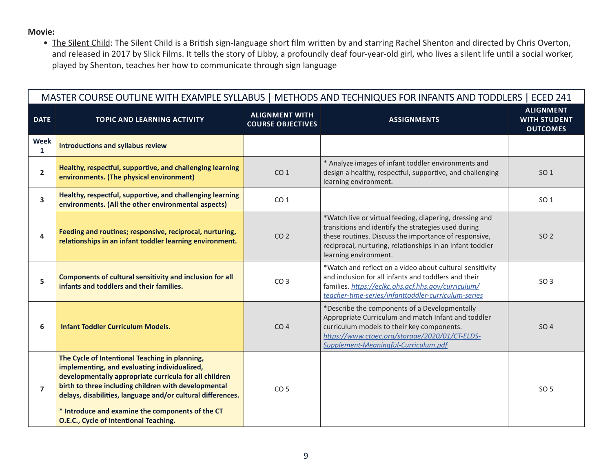### **Movie:**

• The Silent Child: The Silent Child is a British sign-language short film written by and starring Rachel Shenton and directed by Chris Overton, and released in 2017 by Slick Films. It tells the story of Libby, a profoundly deaf four-year-old girl, who lives a silent life until a social worker, played by Shenton, teaches her how to communicate through sign language

| MASTER COURSE OUTLINE WITH EXAMPLE SYLLABUS   METHODS AND TECHNIQUES FOR INFANTS AND TODDLERS   ECED 241 |                                                                                                                                                                                                                                                                                                                                                                               |                                                   |                                                                                                                                                                                                                                                               |                                                            |
|----------------------------------------------------------------------------------------------------------|-------------------------------------------------------------------------------------------------------------------------------------------------------------------------------------------------------------------------------------------------------------------------------------------------------------------------------------------------------------------------------|---------------------------------------------------|---------------------------------------------------------------------------------------------------------------------------------------------------------------------------------------------------------------------------------------------------------------|------------------------------------------------------------|
| <b>DATE</b>                                                                                              | <b>TOPIC AND LEARNING ACTIVITY</b>                                                                                                                                                                                                                                                                                                                                            | <b>ALIGNMENT WITH</b><br><b>COURSE OBJECTIVES</b> | <b>ASSIGNMENTS</b>                                                                                                                                                                                                                                            | <b>ALIGNMENT</b><br><b>WITH STUDENT</b><br><b>OUTCOMES</b> |
| <b>Week</b><br>$\mathbf{1}$                                                                              | <b>Introductions and syllabus review</b>                                                                                                                                                                                                                                                                                                                                      |                                                   |                                                                                                                                                                                                                                                               |                                                            |
| $\overline{2}$                                                                                           | Healthy, respectful, supportive, and challenging learning<br>environments. (The physical environment)                                                                                                                                                                                                                                                                         | CO <sub>1</sub>                                   | * Analyze images of infant toddler environments and<br>design a healthy, respectful, supportive, and challenging<br>learning environment.                                                                                                                     | SO <sub>1</sub>                                            |
| 3                                                                                                        | Healthy, respectful, supportive, and challenging learning<br>environments. (All the other environmental aspects)                                                                                                                                                                                                                                                              | CO <sub>1</sub>                                   |                                                                                                                                                                                                                                                               | SO <sub>1</sub>                                            |
| 4                                                                                                        | Feeding and routines; responsive, reciprocal, nurturing,<br>relationships in an infant toddler learning environment.                                                                                                                                                                                                                                                          | CO <sub>2</sub>                                   | *Watch live or virtual feeding, diapering, dressing and<br>transitions and identify the strategies used during<br>these routines. Discuss the importance of responsive,<br>reciprocal, nurturing, relationships in an infant toddler<br>learning environment. | SO <sub>2</sub>                                            |
| 5                                                                                                        | Components of cultural sensitivity and inclusion for all<br>infants and toddlers and their families.                                                                                                                                                                                                                                                                          | CO <sub>3</sub>                                   | *Watch and reflect on a video about cultural sensitivity<br>and inclusion for all infants and toddlers and their<br>families. https://eclkc.ohs.acf.hhs.gov/curriculum/<br>teacher-time-series/infanttoddler-curriculum-series                                | SO <sub>3</sub>                                            |
| 6                                                                                                        | <b>Infant Toddler Curriculum Models.</b>                                                                                                                                                                                                                                                                                                                                      | CO <sub>4</sub>                                   | *Describe the components of a Developmentally<br>Appropriate Curriculum and match Infant and toddler<br>curriculum models to their key components.<br>https://www.ctoec.org/storage/2020/01/CT-ELDS-<br>Supplement-Meaningful-Curriculum.pdf                  | SO <sub>4</sub>                                            |
| $\overline{7}$                                                                                           | The Cycle of Intentional Teaching in planning,<br>implementing, and evaluating individualized,<br>developmentally appropriate curricula for all children<br>birth to three including children with developmental<br>delays, disabilities, language and/or cultural differences.<br>* Introduce and examine the components of the CT<br>O.E.C., Cycle of Intentional Teaching. | CO <sub>5</sub>                                   |                                                                                                                                                                                                                                                               | SO 5                                                       |